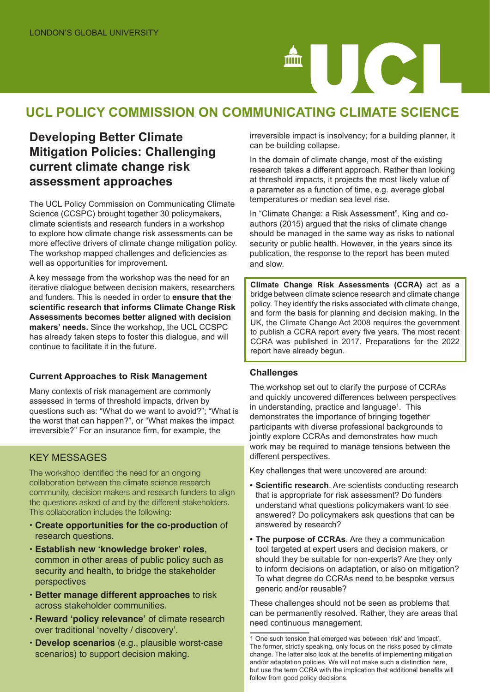# 

# **UCL POLICY COMMISSION ON COMMUNICATING CLIMATE SCIENCE**

# **Developing Better Climate Mitigation Policies: Challenging current climate change risk assessment approaches**

The UCL Policy Commission on Communicating Climate Science (CCSPC) brought together 30 policymakers, climate scientists and research funders in a workshop to explore how climate change risk assessments can be more effective drivers of climate change mitigation policy. The workshop mapped challenges and deficiencies as well as opportunities for improvement.

A key message from the workshop was the need for an iterative dialogue between decision makers, researchers and funders. This is needed in order to **ensure that the scientific research that informs Climate Change Risk Assessments becomes better aligned with decision makers' needs.** Since the workshop, the UCL CCSPC has already taken steps to foster this dialogue, and will continue to facilitate it in the future.

#### **Current Approaches to Risk Management**

Many contexts of risk management are commonly assessed in terms of threshold impacts, driven by questions such as: "What do we want to avoid?"; "What is the worst that can happen?", or "What makes the impact irreversible?" For an insurance firm, for example, the

### KEY MESSAGES

The workshop identified the need for an ongoing collaboration between the climate science research community, decision makers and research funders to align the questions asked of and by the different stakeholders. This collaboration includes the following:

- **• Create opportunities for the co-production** of research questions.
- **• Establish new 'knowledge broker' roles**, common in other areas of public policy such as security and health, to bridge the stakeholder perspectives
- **• Better manage different approaches** to risk across stakeholder communities.
- **• Reward 'policy relevance'** of climate research over traditional 'novelty / discovery'.
- **• Develop scenarios** (e.g., plausible worst-case scenarios) to support decision making.

irreversible impact is insolvency; for a building planner, it can be building collapse.

In the domain of climate change, most of the existing research takes a different approach. Rather than looking at threshold impacts, it projects the most likely value of a parameter as a function of time, e.g. average global temperatures or median sea level rise.

In "Climate Change: a Risk Assessment", King and coauthors (2015) argued that the risks of climate change should be managed in the same way as risks to national security or public health. However, in the years since its publication, the response to the report has been muted and slow.

**Climate Change Risk Assessments (CCRA)** act as a bridge between climate science research and climate change policy. They identify the risks associated with climate change, and form the basis for planning and decision making. In the UK, the Climate Change Act 2008 requires the government to publish a CCRA report every five years. The most recent CCRA was published in 2017. Preparations for the 2022 report have already begun.

#### **Challenges**

The workshop set out to clarify the purpose of CCRAs and quickly uncovered differences between perspectives in understanding, practice and language<sup>1</sup>. This demonstrates the importance of bringing together participants with diverse professional backgrounds to jointly explore CCRAs and demonstrates how much work may be required to manage tensions between the different perspectives.

Key challenges that were uncovered are around:

- **• Scientific research**. Are scientists conducting research that is appropriate for risk assessment? Do funders understand what questions policymakers want to see answered? Do policymakers ask questions that can be answered by research?
- **• The purpose of CCRAs**. Are they a communication tool targeted at expert users and decision makers, or should they be suitable for non-experts? Are they only to inform decisions on adaptation, or also on mitigation? To what degree do CCRAs need to be bespoke versus generic and/or reusable?

These challenges should not be seen as problems that can be permanently resolved. Rather, they are areas that need continuous management.

<sup>1</sup> One such tension that emerged was between 'risk' and 'impact'. The former, strictly speaking, only focus on the risks posed by climate change. The latter also look at the benefits of implementing mitigation and/or adaptation policies. We will not make such a distinction here, but use the term CCRA with the implication that additional benefits will follow from good policy decisions.